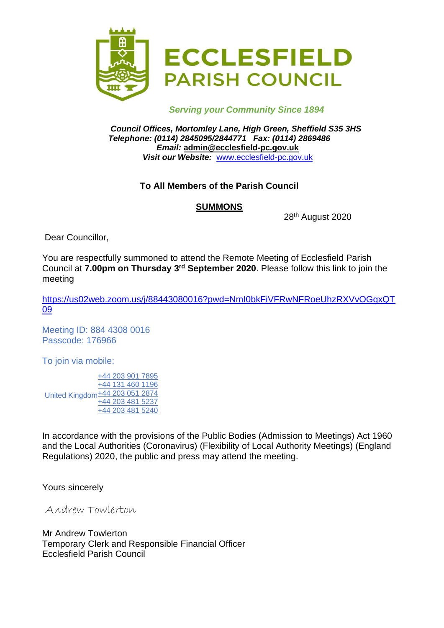

#### *Serving your Community Since 1894*

*Council Offices, Mortomley Lane, High Green, Sheffield S35 3HS Telephone: (0114) 2845095/2844771 Fax: (0114) 2869486 Email:* **admin@ecclesfield-pc.gov.uk** *Visit our Website:* [www.ecclesfield-pc.gov.uk](http://www.ecclesfield-pc.gov.uk/)

#### **To All Members of the Parish Council**

#### **SUMMONS**

28th August 2020

Dear Councillor,

You are respectfully summoned to attend the Remote Meeting of Ecclesfield Parish Council at **7.00pm on Thursday 3 rd September 2020**. Please follow this link to join the meeting

[https://us02web.zoom.us/j/88443080016?pwd=NmI0bkFiVFRwNFRoeUhzRXVvOGgxQT](https://us02web.zoom.us/j/88443080016?pwd=NmI0bkFiVFRwNFRoeUhzRXVvOGgxQT09) [09](https://us02web.zoom.us/j/88443080016?pwd=NmI0bkFiVFRwNFRoeUhzRXVvOGgxQT09)

Meeting ID: 884 4308 0016 Passcode: 176966

To join via mobile:

United Kingdom<sup>+44</sup> 203 051 2874 [+44 203 901 7895](tel:+442039017895) [+44 131 460 1196](tel:+441314601196) [+44 203 481 5237](tel:+442034815237) [+44 203 481 5240](tel:+442034815240)

In accordance with the provisions of the Public Bodies (Admission to Meetings) Act 1960 and the Local Authorities (Coronavirus) (Flexibility of Local Authority Meetings) (England Regulations) 2020, the public and press may attend the meeting.

Yours sincerely

Andrew Towlerton

Mr Andrew Towlerton Temporary Clerk and Responsible Financial Officer Ecclesfield Parish Council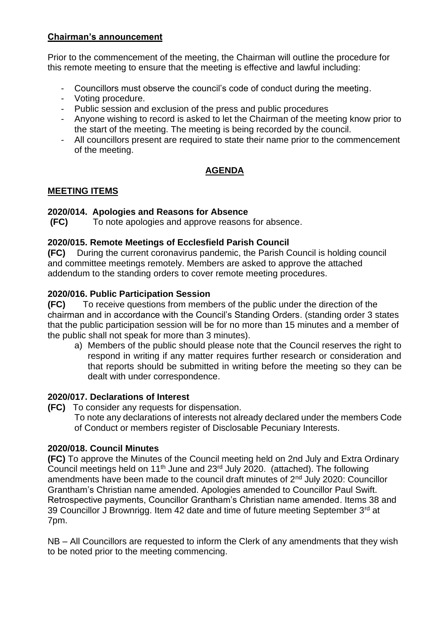#### **Chairman's announcement**

Prior to the commencement of the meeting, the Chairman will outline the procedure for this remote meeting to ensure that the meeting is effective and lawful including:

- Councillors must observe the council's code of conduct during the meeting.
- Voting procedure.
- Public session and exclusion of the press and public procedures
- Anyone wishing to record is asked to let the Chairman of the meeting know prior to the start of the meeting. The meeting is being recorded by the council.
- All councillors present are required to state their name prior to the commencement of the meeting.

# **AGENDA**

## **MEETING ITEMS**

## **2020/014. Apologies and Reasons for Absence**

**(FC)** To note apologies and approve reasons for absence.

## **2020/015. Remote Meetings of Ecclesfield Parish Council**

**(FC)** During the current coronavirus pandemic, the Parish Council is holding council and committee meetings remotely. Members are asked to approve the attached addendum to the standing orders to cover remote meeting procedures.

## **2020/016. Public Participation Session**

**(FC)** To receive questions from members of the public under the direction of the chairman and in accordance with the Council's Standing Orders. (standing order 3 states that the public participation session will be for no more than 15 minutes and a member of the public shall not speak for more than 3 minutes).

a) Members of the public should please note that the Council reserves the right to respond in writing if any matter requires further research or consideration and that reports should be submitted in writing before the meeting so they can be dealt with under correspondence.

# **2020/017. Declarations of Interest**

- **(FC)** To consider any requests for dispensation.
	- To note any declarations of interests not already declared under the members Code of Conduct or members register of Disclosable Pecuniary Interests.

# **2020/018. Council Minutes**

**(FC)** To approve the Minutes of the Council meeting held on 2nd July and Extra Ordinary Council meetings held on 11<sup>th</sup> June and 23<sup>rd</sup> July 2020. (attached). The following amendments have been made to the council draft minutes of  $2<sup>nd</sup>$  July 2020: Councillor Grantham's Christian name amended. Apologies amended to Councillor Paul Swift. Retrospective payments, Councillor Grantham's Christian name amended. Items 38 and 39 Councillor J Brownrigg. Item 42 date and time of future meeting September 3rd at 7pm.

NB – All Councillors are requested to inform the Clerk of any amendments that they wish to be noted prior to the meeting commencing.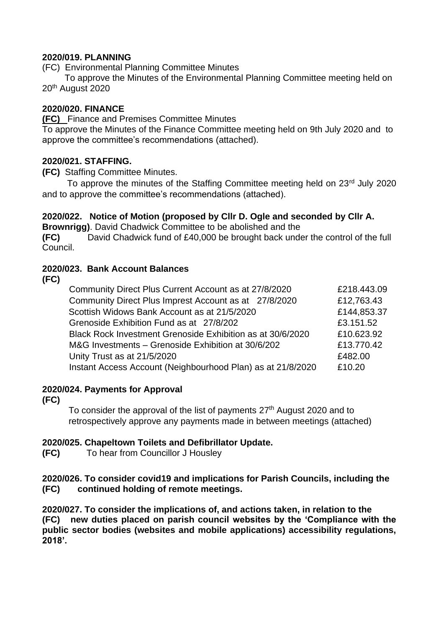#### **2020/019. PLANNING**

(FC) Environmental Planning Committee Minutes

 To approve the Minutes of the Environmental Planning Committee meeting held on 20<sup>th</sup> August 2020

#### **2020/020. FINANCE**

**(FC)** Finance and Premises Committee Minutes

To approve the Minutes of the Finance Committee meeting held on 9th July 2020 and to approve the committee's recommendations (attached).

#### **2020/021. STAFFING.**

**(FC)** Staffing Committee Minutes.

To approve the minutes of the Staffing Committee meeting held on 23<sup>rd</sup> July 2020 and to approve the committee's recommendations (attached).

#### **2020/022. Notice of Motion (proposed by Cllr D. Ogle and seconded by Cllr A.**

**Brownrigg)**. David Chadwick Committee to be abolished and the

**(FC)** David Chadwick fund of £40,000 be brought back under the control of the full Council.

#### **2020/023. Bank Account Balances**

**(FC)**

| Community Direct Plus Current Account as at 27/8/2020       | £218.443.09 |
|-------------------------------------------------------------|-------------|
| Community Direct Plus Imprest Account as at 27/8/2020       | £12,763.43  |
| Scottish Widows Bank Account as at 21/5/2020                | £144,853.37 |
| Grenoside Exhibition Fund as at 27/8/202                    | £3.151.52   |
| Black Rock Investment Grenoside Exhibition as at 30/6/2020  | £10.623.92  |
| M&G Investments - Grenoside Exhibition at 30/6/202          | £13.770.42  |
| Unity Trust as at 21/5/2020                                 | £482.00     |
| Instant Access Account (Neighbourhood Plan) as at 21/8/2020 | £10.20      |

#### **2020/024. Payments for Approval**

**(FC)**

To consider the approval of the list of payments  $27<sup>th</sup>$  August 2020 and to retrospectively approve any payments made in between meetings (attached)

#### **2020/025. Chapeltown Toilets and Defibrillator Update.**

**(FC)** To hear from Councillor J Housley

**2020/026. To consider covid19 and implications for Parish Councils, including the (FC) continued holding of remote meetings.**

**2020/027. To consider the implications of, and actions taken, in relation to the (FC) new duties placed on parish council websites by the 'Compliance with the public sector bodies (websites and mobile applications) accessibility regulations, 2018'.**